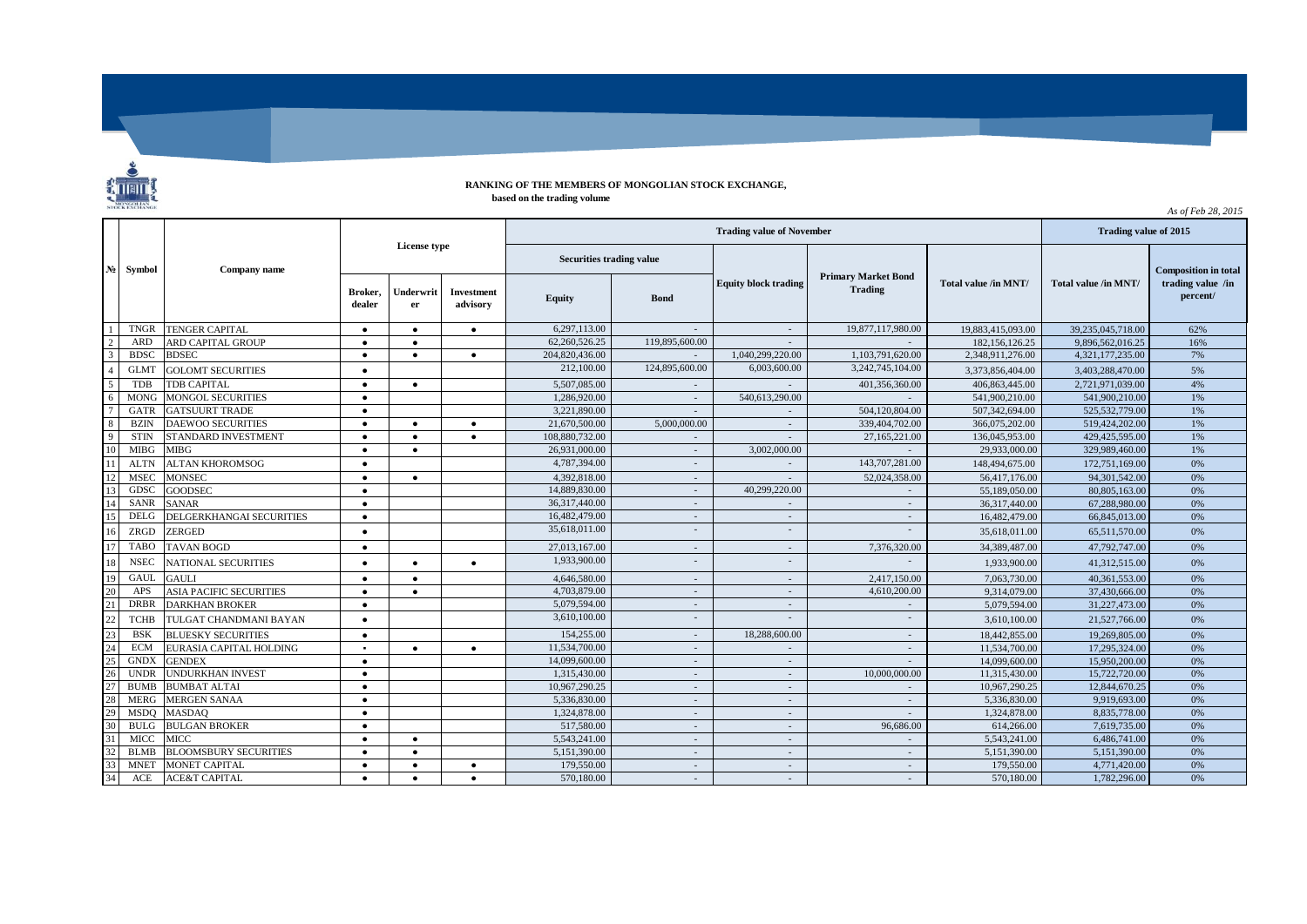

## **RANKING OF THE MEMBERS OF MONGOLIAN STOCK EXCHANGE, based on the trading volume**

*As of Feb 28, 2015*

|                         | $N_2$ Symbol | Company name                   |                |                   |                 |                                 | Trading value of 2015    |                  |                             |                                              |                      |                             |
|-------------------------|--------------|--------------------------------|----------------|-------------------|-----------------|---------------------------------|--------------------------|------------------|-----------------------------|----------------------------------------------|----------------------|-----------------------------|
|                         |              |                                | License type   |                   |                 | <b>Securities trading value</b> |                          |                  |                             |                                              |                      | <b>Composition in total</b> |
|                         |              |                                |                | Broker,<br>dealer | Underwrit<br>er | <b>Investment</b><br>advisory   | Equity                   | <b>Bond</b>      | <b>Equity block trading</b> | <b>Primary Market Bond</b><br><b>Trading</b> | Total value /in MNT/ | Total value /in MNT/        |
|                         | <b>TNGR</b>  | <b>TENGER CAPITAL</b>          | $\bullet$      | $\bullet$         | $\bullet$       | 6.297.113.00                    |                          | $\sim$           | 19,877,117,980.00           | 19.883.415.093.00                            | 39,235,045,718.00    | 62%                         |
| $\overline{2}$          | ARD          | ARD CAPITAL GROUP              | $\bullet$      | $\bullet$         |                 | 62.260.526.25                   | 119,895,600.00           |                  |                             | 182, 156, 126.25                             | 9,896,562,016.25     | 16%                         |
| $\overline{\mathbf{3}}$ | <b>BDSC</b>  | <b>BDSEC</b>                   | $\bullet$      | $\bullet$         | $\bullet$       | 204,820,436.00                  |                          | 1,040,299,220.00 | 1,103,791,620.00            | 2,348,911,276.00                             | 4,321,177,235.00     | 7%                          |
| $\overline{4}$          | <b>GLMT</b>  | <b>GOLOMT SECURITIES</b>       | $\bullet$      |                   |                 | 212,100.00                      | 124,895,600.00           | 6,003,600.00     | 3,242,745,104.00            | 3,373,856,404.00                             | 3,403,288,470.00     | 5%                          |
| 5                       | <b>TDB</b>   | <b>TDB CAPITAL</b>             | $\bullet$      | $\bullet$         |                 | 5,507,085.00                    |                          |                  | 401,356,360.00              | 406,863,445.00                               | 2,721,971,039.00     | 4%                          |
| 6                       | <b>MONG</b>  | <b>MONGOL SECURITIES</b>       | $\bullet$      |                   |                 | 1,286,920.00                    | $\sim$                   | 540,613,290.00   |                             | 541,900,210.00                               | 541,900,210.00       | 1%                          |
| $\overline{7}$          | GATR         | <b>GATSUURT TRADE</b>          | $\bullet$      |                   |                 | 3.221.890.00                    |                          |                  | 504.120.804.00              | 507,342,694.00                               | 525,532,779.00       | 1%                          |
| 8                       | <b>BZIN</b>  | <b>DAEWOO SECURITIES</b>       | $\bullet$      | $\bullet$         | $\bullet$       | 21,670,500.00                   | 5,000,000,00             |                  | 339,404,702.00              | 366,075,202.00                               | 519,424,202.00       | 1%                          |
| <sup>Q</sup>            | <b>STIN</b>  | STANDARD INVESTMENT            | $\bullet$      | $\bullet$         | $\bullet$       | 108,880,732,00                  |                          |                  | 27,165,221.00               | 136,045,953.00                               | 429,425,595.00       | 1%                          |
| 10                      | <b>MIBG</b>  | <b>MIBG</b>                    | $\bullet$      | $\bullet$         |                 | 26,931,000.00                   |                          | 3,002,000.00     |                             | 29,933,000.00                                | 329,989,460.00       | 1%                          |
| 11                      | <b>ALTN</b>  | <b>ALTAN KHOROMSOG</b>         | $\bullet$      |                   |                 | 4,787,394,00                    | $\overline{\phantom{a}}$ |                  | 143,707,281.00              | 148,494,675.00                               | 172,751,169.00       | 0%                          |
| 12                      | <b>MSEC</b>  | <b>MONSEC</b>                  | $\bullet$      | $\bullet$         |                 | 4.392.818.00                    | $\overline{\phantom{a}}$ |                  | 52.024.358.00               | 56,417,176.00                                | 94.301.542.00        | 0%                          |
| 13                      | GDSC         | <b>GOODSEC</b>                 | $\bullet$      |                   |                 | 14,889,830,00                   |                          | 40.299.220.00    |                             | 55.189.050.00                                | 80,805,163.00        | 0%                          |
| 14                      | <b>SANR</b>  | <b>SANAR</b>                   | $\bullet$      |                   |                 | 36,317,440.00                   | $\sim$                   |                  |                             | 36,317,440.00                                | 67,288,980.00        | 0%                          |
| 15                      | <b>DELG</b>  | DELGERKHANGAI SECURITIES       | $\bullet$      |                   |                 | 16,482,479.00                   | $\sim$                   | $\sim$           |                             | 16,482,479.00                                | 66,845,013.00        | 0%                          |
| 16                      | ZRGD         | ZERGED                         | $\bullet$      |                   |                 | 35,618,011.00                   |                          |                  |                             | 35,618,011.00                                | 65,511,570.00        | 0%                          |
| 17                      | <b>TABO</b>  | <b>TAVAN BOGD</b>              | $\bullet$      |                   |                 | 27,013,167.00                   | $\overline{\phantom{a}}$ | $\sim$           | 7,376,320.00                | 34,389,487.00                                | 47,792,747.00        | 0%                          |
| 18                      | <b>NSEC</b>  | <b>NATIONAL SECURITIES</b>     | $\bullet$      | $\bullet$         | $\bullet$       | 1,933,900.00                    |                          |                  |                             | 1,933,900.00                                 | 41,312,515.00        | 0%                          |
| 19                      | GAUI         | <b>GAULI</b>                   | $\bullet$      | $\bullet$         |                 | 4,646,580.00                    | $\sim$                   | $\sim$           | 2,417,150.00                | 7,063,730.00                                 | 40,361,553.00        | 0%                          |
| 20                      | APS          | <b>ASIA PACIFIC SECURITIES</b> | $\bullet$      | $\bullet$         |                 | 4,703,879.00                    |                          |                  | 4,610,200.00                | 9,314,079.00                                 | 37,430,666.00        | 0%                          |
| 21                      | <b>DRBR</b>  | <b>DARKHAN BROKER</b>          | $\bullet$      |                   |                 | 5,079,594.00                    |                          |                  |                             | 5.079.594.00                                 | 31,227,473.00        | 0%                          |
| 2 <sup>′</sup>          | <b>TCHB</b>  | TULGAT CHANDMANI BAYAN         | $\bullet$      |                   |                 | 3,610,100.00                    |                          |                  |                             | 3,610,100.00                                 | 21,527,766.00        | 0%                          |
| 23                      | <b>BSK</b>   | <b>BLUESKY SECURITIES</b>      | $\bullet$      |                   |                 | 154,255,00                      |                          | 18,288,600,00    |                             | 18,442,855.00                                | 19,269,805.00        | 0%                          |
| 24                      | <b>ECM</b>   | EURASIA CAPITAL HOLDING        | $\blacksquare$ | $\bullet$         | $\bullet$       | 11,534,700.00                   |                          |                  |                             | 11,534,700.00                                | 17,295,324.00        | 0%                          |
| 25                      | <b>GNDX</b>  | <b>GENDEX</b>                  | $\bullet$      |                   |                 | 14,099,600.00                   | ÷.                       | $\sim$           |                             | 14,099,600.00                                | 15,950,200.00        | 0%                          |
| 26                      | <b>UNDR</b>  | <b>UNDURKHAN INVEST</b>        | $\bullet$      |                   |                 | 1.315.430.00                    | $\overline{\phantom{a}}$ | $\sim$           | 10,000,000,00               | 11,315,430.00                                | 15,722,720.00        | 0%                          |
| 27                      | <b>BUMB</b>  | <b>BUMBAT ALTAI</b>            | $\bullet$      |                   |                 | 10,967,290.25                   | $\overline{\phantom{a}}$ | $\sim$           |                             | 10,967,290.25                                | 12,844,670.25        | 0%                          |
| 28                      | <b>MERG</b>  | <b>MERGEN SANAA</b>            | $\bullet$      |                   |                 | 5,336,830.00                    | $\overline{\phantom{a}}$ | $\sim$           |                             | 5,336,830.00                                 | 9.919.693.00         | 0%                          |
| 29                      | <b>MSDO</b>  | <b>MASDAO</b>                  | $\bullet$      |                   |                 | 1.324.878.00                    |                          | $\sim$           |                             | 1.324,878.00                                 | 8.835.778.00         | 0%                          |
| 30                      | <b>BULG</b>  | <b>BULGAN BROKER</b>           | $\bullet$      |                   |                 | 517,580.00                      | $\overline{\phantom{a}}$ | $\sim$           | 96,686.00                   | 614,266.00                                   | 7,619,735.00         | 0%                          |
| 31                      | <b>MICC</b>  | <b>MICC</b>                    | $\bullet$      | $\bullet$         |                 | 5,543,241.00                    |                          | $\sim$           |                             | 5,543,241.00                                 | 6,486,741.00         | 0%                          |
| 32                      | <b>BLMB</b>  | <b>BLOOMSBURY SECURITIES</b>   | $\bullet$      | $\bullet$         |                 | 5,151,390.00                    | $\sim$                   | $\sim$           |                             | 5,151,390.00                                 | 5,151,390.00         | 0%                          |
| 33                      | <b>MNET</b>  | <b>MONET CAPITAL</b>           | $\bullet$      | $\bullet$         | $\bullet$       | 179,550.00                      | $\overline{\phantom{a}}$ | $\sim$           | $\sim$                      | 179,550.00                                   | 4,771,420.00         | 0%                          |
| 34                      | ACE          | <b>ACE&amp;T CAPITAL</b>       | $\bullet$      | $\bullet$         | $\bullet$       | 570,180.00                      | $\sim$                   | $\sim$           | $\sim$                      | 570,180.00                                   | 1,782,296.00         | 0%                          |